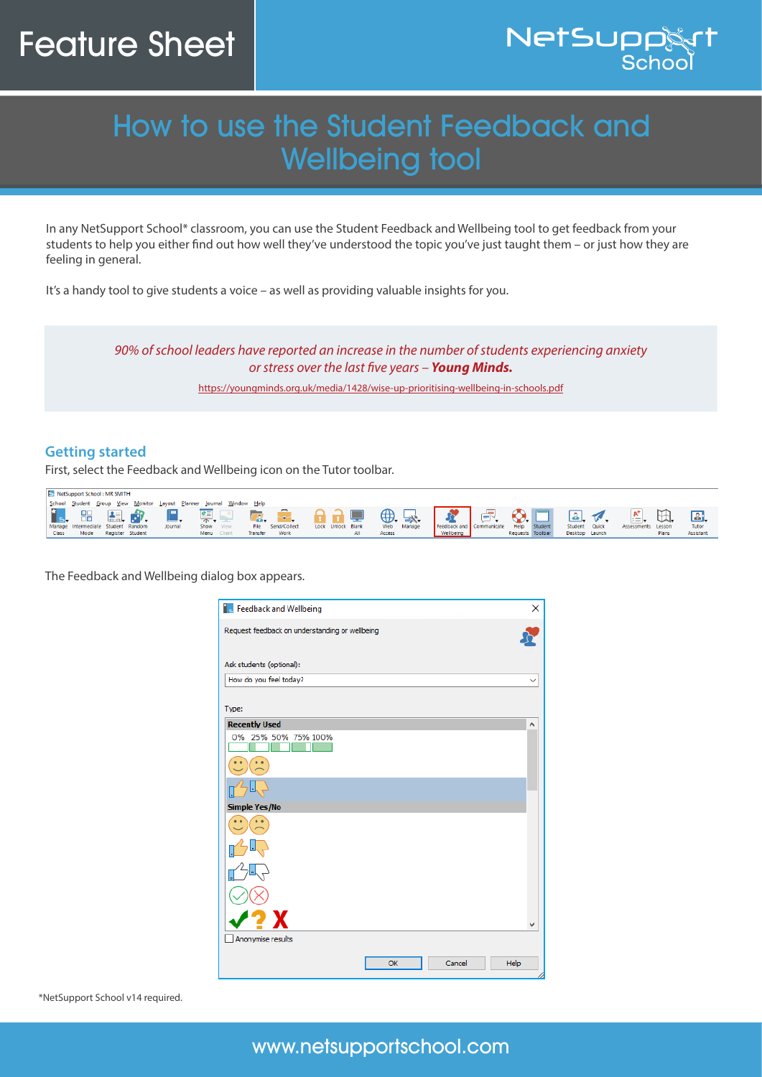## Feature Sheet



## How to use the Student Feedback and Wellbeing tool

In any NetSupport School\* classroom, you can use the Student Feedback and Wellbeing tool to get feedback from your students to help you either find out how well they've understood the topic you've just taught them – or just how they are feeling in general.

It's a handy tool to give students a voice – as well as providing valuable insights for you.

*90% of school leaders have reported an increase in the number of students experiencing anxiety or stress over the last five years – Young Minds.* 

https://youngminds.org.uk/media/1428/wise-up-prioritising-wellbeing-in-schools.pdf

## **Getting started**

First, select the Feedback and Wellbeing icon on the Tutor toolbar.

| NetSupport School: MR SMITH |                                    |                  |  |                                                                      |           |  |          |              |  |                   |     |        |        |                          |                  |         |                |                    |              |           |
|-----------------------------|------------------------------------|------------------|--|----------------------------------------------------------------------|-----------|--|----------|--------------|--|-------------------|-----|--------|--------|--------------------------|------------------|---------|----------------|--------------------|--------------|-----------|
|                             |                                    |                  |  | School Student Group View Monitor Layout Planner Journal Window Help |           |  |          |              |  |                   |     |        |        |                          |                  |         |                |                    |              |           |
|                             | is, H 黒舟                           |                  |  |                                                                      |           |  |          |              |  |                   |     |        |        |                          |                  |         |                | $\mathbb{A}^+$     | $\mathbb{R}$ |           |
|                             | Manage Intermediate Student Random |                  |  | Journal                                                              | Show View |  |          | Send/Collect |  | Lock Unlock Blank |     | Web    | Manage | Feedback and Communicate | Help             | Student | Student Quick  | Assessments Lesson |              | Tutor     |
| <b>Class</b>                | Mode                               | Register Student |  |                                                                      | Menu      |  | fransfer |              |  |                   | All | Access |        | Wellbeing                | Requests Toolbar |         | Desktop Launch |                    | Plans        | Assistant |

The Feedback and Wellbeing dialog box appears.



\*NetSupport School v14 required.